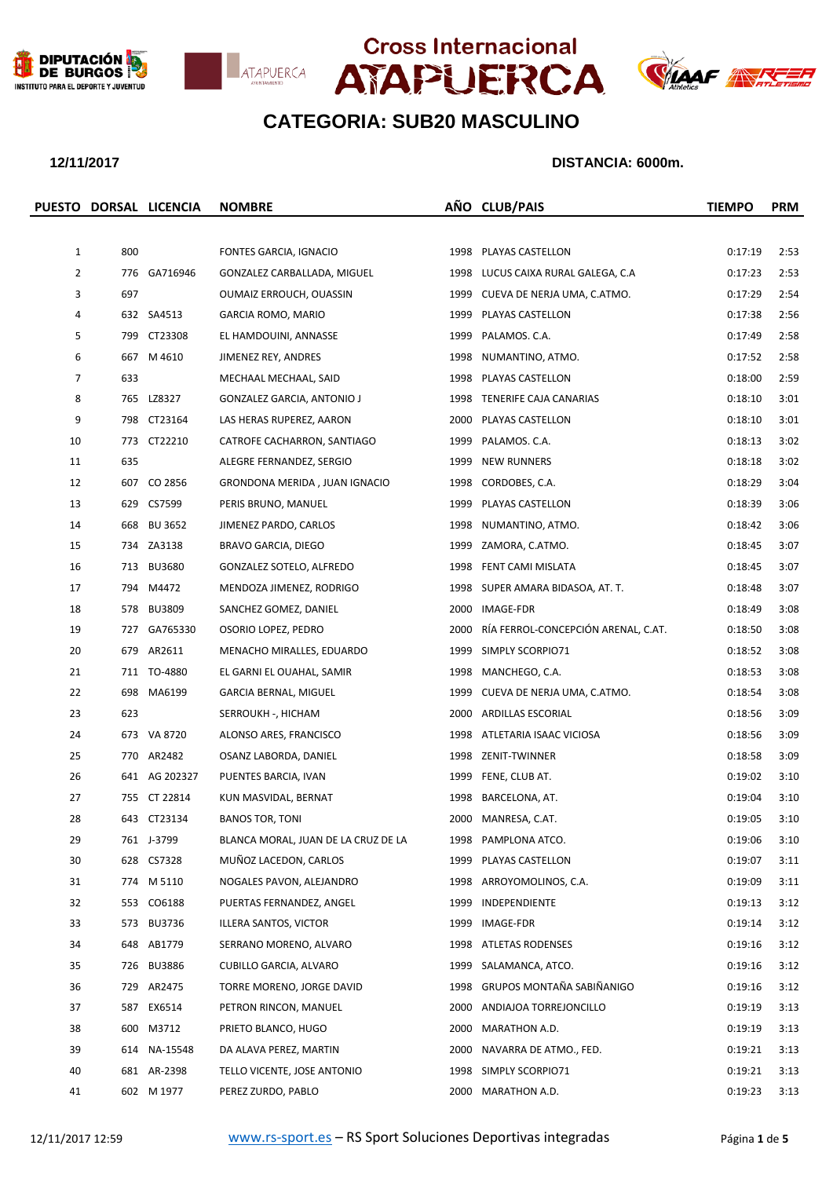







### **12/11/2017 DISTANCIA: 6000m.**

|                |     | PUESTO DORSAL LICENCIA | <b>NOMBRE</b>                       |      | AÑO CLUB/PAIS                            | <b>TIEMPO</b> | <b>PRM</b> |
|----------------|-----|------------------------|-------------------------------------|------|------------------------------------------|---------------|------------|
|                |     |                        |                                     |      |                                          |               |            |
| $\mathbf{1}$   | 800 |                        | FONTES GARCIA, IGNACIO              |      | 1998 PLAYAS CASTELLON                    | 0:17:19       | 2:53       |
| $\overline{2}$ |     | 776 GA716946           | GONZALEZ CARBALLADA, MIGUEL         |      | 1998 LUCUS CAIXA RURAL GALEGA, C.A       | 0:17:23       | 2:53       |
| 3              | 697 |                        | OUMAIZ ERROUCH, OUASSIN             |      | 1999 CUEVA DE NERJA UMA, C.ATMO.         | 0:17:29       | 2:54       |
| 4              |     | 632 SA4513             | GARCIA ROMO, MARIO                  |      | 1999 PLAYAS CASTELLON                    | 0:17:38       | 2:56       |
| 5              |     | 799 CT23308            | EL HAMDOUINI, ANNASSE               | 1999 | PALAMOS. C.A.                            | 0:17:49       | 2:58       |
| 6              |     | 667 M 4610             | JIMENEZ REY, ANDRES                 | 1998 | NUMANTINO, ATMO.                         | 0:17:52       | 2:58       |
| 7              | 633 |                        | MECHAAL MECHAAL, SAID               |      | 1998 PLAYAS CASTELLON                    | 0:18:00       | 2:59       |
| 8              |     | 765 LZ8327             | <b>GONZALEZ GARCIA, ANTONIO J</b>   |      | 1998 TENERIFE CAJA CANARIAS              | 0:18:10       | 3:01       |
| 9              |     | 798 CT23164            | LAS HERAS RUPEREZ, AARON            |      | 2000 PLAYAS CASTELLON                    | 0:18:10       | 3:01       |
| 10             |     | 773 CT22210            | CATROFE CACHARRON, SANTIAGO         | 1999 | PALAMOS. C.A.                            | 0:18:13       | 3:02       |
| 11             | 635 |                        | ALEGRE FERNANDEZ, SERGIO            | 1999 | <b>NEW RUNNERS</b>                       | 0:18:18       | 3:02       |
| 12             |     | 607 CO 2856            | GRONDONA MERIDA, JUAN IGNACIO       |      | 1998 CORDOBES, C.A.                      | 0:18:29       | 3:04       |
| 13             |     | 629 CS7599             | PERIS BRUNO, MANUEL                 |      | 1999 PLAYAS CASTELLON                    | 0:18:39       | 3:06       |
| 14             |     | 668 BU 3652            | JIMENEZ PARDO, CARLOS               | 1998 | NUMANTINO, ATMO.                         | 0:18:42       | 3:06       |
| 15             |     | 734 ZA3138             | BRAVO GARCIA, DIEGO                 |      | 1999 ZAMORA, C.ATMO.                     | 0:18:45       | 3:07       |
| 16             |     | 713 BU3680             | GONZALEZ SOTELO, ALFREDO            |      | 1998 FENT CAMI MISLATA                   | 0:18:45       | 3:07       |
| 17             |     | 794 M4472              | MENDOZA JIMENEZ, RODRIGO            |      | 1998 SUPER AMARA BIDASOA, AT. T.         | 0:18:48       | 3:07       |
| 18             |     | 578 BU3809             | SANCHEZ GOMEZ, DANIEL               |      | 2000 IMAGE-FDR                           | 0:18:49       | 3:08       |
| 19             |     | 727 GA765330           | OSORIO LOPEZ, PEDRO                 |      | 2000 RÍA FERROL-CONCEPCIÓN ARENAL, C.AT. | 0:18:50       | 3:08       |
| 20             |     | 679 AR2611             | MENACHO MIRALLES, EDUARDO           |      | 1999 SIMPLY SCORPIO71                    | 0:18:52       | 3:08       |
| 21             |     | 711 TO-4880            | EL GARNI EL OUAHAL, SAMIR           |      | 1998 MANCHEGO, C.A.                      | 0:18:53       | 3:08       |
| 22             |     | 698 MA6199             | GARCIA BERNAL, MIGUEL               |      | 1999 CUEVA DE NERJA UMA, C.ATMO.         | 0:18:54       | 3:08       |
| 23             | 623 |                        | SERROUKH -, HICHAM                  |      | 2000 ARDILLAS ESCORIAL                   | 0:18:56       | 3:09       |
| 24             |     | 673 VA 8720            | ALONSO ARES, FRANCISCO              |      | 1998 ATLETARIA ISAAC VICIOSA             | 0:18:56       | 3:09       |
| 25             |     | 770 AR2482             | OSANZ LABORDA, DANIEL               |      | 1998 ZENIT-TWINNER                       | 0:18:58       | 3:09       |
| 26             |     | 641 AG 202327          | PUENTES BARCIA, IVAN                |      | 1999 FENE, CLUB AT.                      | 0:19:02       | 3:10       |
| 27             |     | 755 CT 22814           | KUN MASVIDAL, BERNAT                |      | 1998 BARCELONA, AT.                      | 0:19:04       | 3:10       |
| 28             |     | 643 CT23134            | <b>BANOS TOR, TONI</b>              |      | 2000 MANRESA, C.AT.                      | 0:19:05       | 3:10       |
| 29             |     | 761 J-3799             | BLANCA MORAL, JUAN DE LA CRUZ DE LA |      | 1998 PAMPLONA ATCO.                      | 0:19:06       | 3:10       |
| 30             |     | 628 CS7328             | MUÑOZ LACEDON, CARLOS               | 1999 | PLAYAS CASTELLON                         | 0:19:07       | 3:11       |
| 31             |     | 774 M 5110             | NOGALES PAVON, ALEJANDRO            |      | 1998 ARROYOMOLINOS, C.A.                 | 0:19:09       | 3:11       |
| 32             |     | 553 CO6188             | PUERTAS FERNANDEZ, ANGEL            | 1999 | INDEPENDIENTE                            | 0:19:13       | 3:12       |
| 33             |     | 573 BU3736             | ILLERA SANTOS, VICTOR               | 1999 | IMAGE-FDR                                | 0:19:14       | 3:12       |
| 34             |     | 648 AB1779             | SERRANO MORENO, ALVARO              |      | 1998 ATLETAS RODENSES                    | 0:19:16       | 3:12       |
| 35             |     | 726 BU3886             | CUBILLO GARCIA, ALVARO              |      | 1999 SALAMANCA, ATCO.                    | 0:19:16       | 3:12       |
| 36             |     | 729 AR2475             | TORRE MORENO, JORGE DAVID           |      | 1998 GRUPOS MONTAÑA SABIÑANIGO           | 0:19:16       | 3:12       |
| 37             |     | 587 EX6514             | PETRON RINCON, MANUEL               |      | 2000 ANDIAJOA TORREJONCILLO              | 0:19:19       | 3:13       |
| 38             |     | 600 M3712              | PRIETO BLANCO, HUGO                 | 2000 | MARATHON A.D.                            | 0:19:19       | 3:13       |
| 39             |     | 614 NA-15548           | DA ALAVA PEREZ, MARTIN              |      | 2000 NAVARRA DE ATMO., FED.              | 0:19:21       | 3:13       |
| 40             |     | 681 AR-2398            | TELLO VICENTE, JOSE ANTONIO         |      | 1998 SIMPLY SCORPIO71                    | 0:19:21       | 3:13       |
| 41             |     | 602 M 1977             | PEREZ ZURDO, PABLO                  |      | 2000 MARATHON A.D.                       | 0:19:23       | 3:13       |
|                |     |                        |                                     |      |                                          |               |            |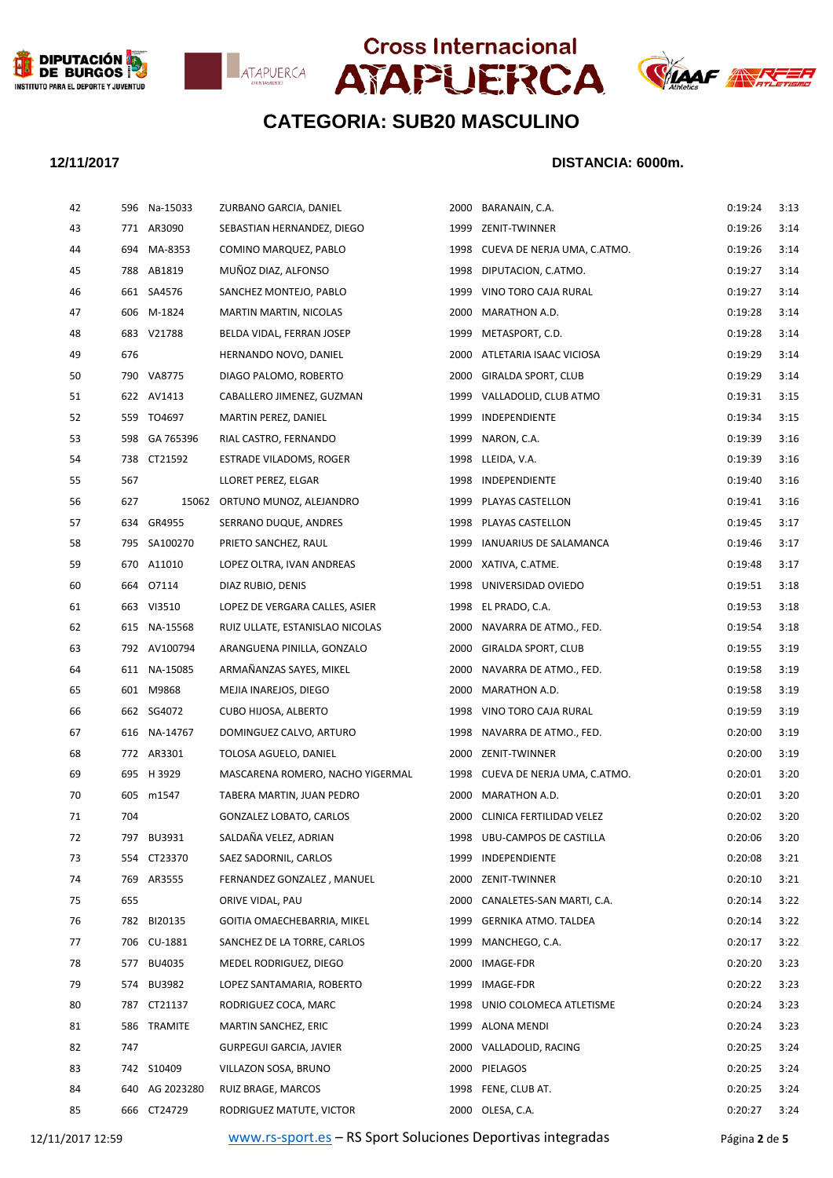







### **12/11/2017 DISTANCIA: 6000m.**

| 42 |     | 596 Na-15033  | ZURBANO GARCIA, DANIEL           |      | 2000 BARANAIN, C.A.              | 0:19:24 | 3:13 |
|----|-----|---------------|----------------------------------|------|----------------------------------|---------|------|
| 43 |     | 771 AR3090    | SEBASTIAN HERNANDEZ, DIEGO       |      | 1999 ZENIT-TWINNER               | 0:19:26 | 3:14 |
| 44 |     | 694 MA-8353   | COMINO MARQUEZ, PABLO            |      | 1998 CUEVA DE NERJA UMA, C.ATMO. | 0:19:26 | 3:14 |
| 45 |     | 788 AB1819    | MUÑOZ DIAZ, ALFONSO              |      | 1998 DIPUTACION, C.ATMO.         | 0:19:27 | 3:14 |
| 46 |     | 661 SA4576    | SANCHEZ MONTEJO, PABLO           | 1999 | VINO TORO CAJA RURAL             | 0:19:27 | 3:14 |
| 47 |     | 606 M-1824    | MARTIN MARTIN, NICOLAS           | 2000 | MARATHON A.D.                    | 0:19:28 | 3:14 |
| 48 |     | 683 V21788    | BELDA VIDAL, FERRAN JOSEP        | 1999 | METASPORT, C.D.                  | 0:19:28 | 3:14 |
| 49 | 676 |               | HERNANDO NOVO, DANIEL            |      | 2000 ATLETARIA ISAAC VICIOSA     | 0:19:29 | 3:14 |
| 50 |     | 790 VA8775    | DIAGO PALOMO, ROBERTO            | 2000 | GIRALDA SPORT, CLUB              | 0:19:29 | 3:14 |
| 51 |     | 622 AV1413    | CABALLERO JIMENEZ, GUZMAN        |      | 1999 VALLADOLID, CLUB ATMO       | 0:19:31 | 3:15 |
| 52 |     | 559 TO4697    | MARTIN PEREZ, DANIEL             | 1999 | INDEPENDIENTE                    | 0:19:34 | 3:15 |
| 53 |     | 598 GA 765396 | RIAL CASTRO, FERNANDO            | 1999 | NARON, C.A.                      | 0:19:39 | 3:16 |
| 54 |     | 738 CT21592   | ESTRADE VILADOMS, ROGER          | 1998 | LLEIDA, V.A.                     | 0:19:39 | 3:16 |
| 55 | 567 |               | LLORET PEREZ, ELGAR              |      | 1998 INDEPENDIENTE               | 0:19:40 | 3:16 |
| 56 | 627 |               | 15062 ORTUNO MUNOZ, ALEJANDRO    |      | 1999 PLAYAS CASTELLON            | 0:19:41 | 3:16 |
| 57 |     | 634 GR4955    | SERRANO DUQUE, ANDRES            |      | 1998 PLAYAS CASTELLON            | 0:19:45 | 3:17 |
| 58 |     | 795 SA100270  | PRIETO SANCHEZ, RAUL             | 1999 | IANUARIUS DE SALAMANCA           | 0:19:46 | 3:17 |
| 59 |     | 670 A11010    | LOPEZ OLTRA, IVAN ANDREAS        |      | 2000 XATIVA, C.ATME.             | 0:19:48 | 3:17 |
| 60 |     | 664 07114     | DIAZ RUBIO, DENIS                |      | 1998 UNIVERSIDAD OVIEDO          | 0:19:51 | 3:18 |
| 61 |     | 663 VI3510    | LOPEZ DE VERGARA CALLES, ASIER   | 1998 | EL PRADO, C.A.                   | 0:19:53 | 3:18 |
| 62 |     | 615 NA-15568  | RUIZ ULLATE, ESTANISLAO NICOLAS  | 2000 | NAVARRA DE ATMO., FED.           | 0:19:54 | 3:18 |
| 63 |     | 792 AV100794  | ARANGUENA PINILLA, GONZALO       |      | 2000 GIRALDA SPORT, CLUB         | 0:19:55 | 3:19 |
| 64 |     | 611 NA-15085  | ARMAÑANZAS SAYES, MIKEL          | 2000 | NAVARRA DE ATMO., FED.           | 0:19:58 | 3:19 |
| 65 |     | 601 M9868     | MEJIA INAREJOS, DIEGO            | 2000 | MARATHON A.D.                    | 0:19:58 | 3:19 |
| 66 |     | 662 SG4072    | <b>CUBO HIJOSA, ALBERTO</b>      | 1998 | VINO TORO CAJA RURAL             | 0:19:59 | 3:19 |
| 67 |     | 616 NA-14767  | DOMINGUEZ CALVO, ARTURO          |      | 1998 NAVARRA DE ATMO., FED.      | 0:20:00 | 3:19 |
| 68 |     | 772 AR3301    | TOLOSA AGUELO, DANIEL            | 2000 | ZENIT-TWINNER                    | 0:20:00 | 3:19 |
| 69 |     | 695 H 3929    | MASCARENA ROMERO, NACHO YIGERMAL |      | 1998 CUEVA DE NERJA UMA, C.ATMO. | 0:20:01 | 3:20 |
| 70 |     | 605 m1547     | TABERA MARTIN, JUAN PEDRO        |      | 2000 MARATHON A.D.               | 0:20:01 | 3:20 |
| 71 | 704 |               | GONZALEZ LOBATO, CARLOS          |      | 2000 CLINICA FERTILIDAD VELEZ    | 0:20:02 | 3:20 |
| 72 |     | 797 BU3931    | SALDAÑA VELEZ, ADRIAN            |      | 1998 UBU-CAMPOS DE CASTILLA      | 0:20:06 | 3:20 |
| 73 |     | 554 CT23370   | SAEZ SADORNIL, CARLOS            | 1999 | INDEPENDIENTE                    | 0:20:08 | 3:21 |
| 74 |     | 769 AR3555    | FERNANDEZ GONZALEZ, MANUEL       | 2000 | ZENIT-TWINNER                    | 0:20:10 | 3:21 |
| 75 | 655 |               | ORIVE VIDAL, PAU                 | 2000 | CANALETES-SAN MARTI, C.A.        | 0:20:14 | 3:22 |
| 76 | 782 | BI20135       | GOITIA OMAECHEBARRIA, MIKEL      | 1999 | <b>GERNIKA ATMO. TALDEA</b>      | 0:20:14 | 3:22 |
| 77 |     | 706 CU-1881   | SANCHEZ DE LA TORRE, CARLOS      | 1999 | MANCHEGO, C.A.                   | 0:20:17 | 3:22 |
| 78 |     | 577 BU4035    | MEDEL RODRIGUEZ, DIEGO           | 2000 | IMAGE-FDR                        | 0:20:20 | 3:23 |
| 79 |     | 574 BU3982    | LOPEZ SANTAMARIA, ROBERTO        | 1999 | IMAGE-FDR                        | 0:20:22 | 3:23 |
| 80 | 787 | CT21137       | RODRIGUEZ COCA, MARC             | 1998 | UNIO COLOMECA ATLETISME          | 0:20:24 | 3:23 |
| 81 |     | 586 TRAMITE   | MARTIN SANCHEZ, ERIC             |      | 1999 ALONA MENDI                 | 0:20:24 | 3:23 |
| 82 | 747 |               | GURPEGUI GARCIA, JAVIER          | 2000 | VALLADOLID, RACING               | 0:20:25 | 3:24 |
| 83 |     | 742 S10409    | VILLAZON SOSA, BRUNO             |      | 2000 PIELAGOS                    | 0:20:25 | 3:24 |
| 84 | 640 | AG 2023280    | RUIZ BRAGE, MARCOS               | 1998 | FENE, CLUB AT.                   | 0:20:25 | 3:24 |
| 85 |     | 666 CT24729   | RODRIGUEZ MATUTE, VICTOR         |      | 2000 OLESA, C.A.                 | 0:20:27 | 3:24 |
|    |     |               |                                  |      |                                  |         |      |

12/11/2017 12:59 [www.rs-sport.es](http://www.rs-sport.es/) – RS Sport Soluciones Deportivas integradas Página **2** de **5**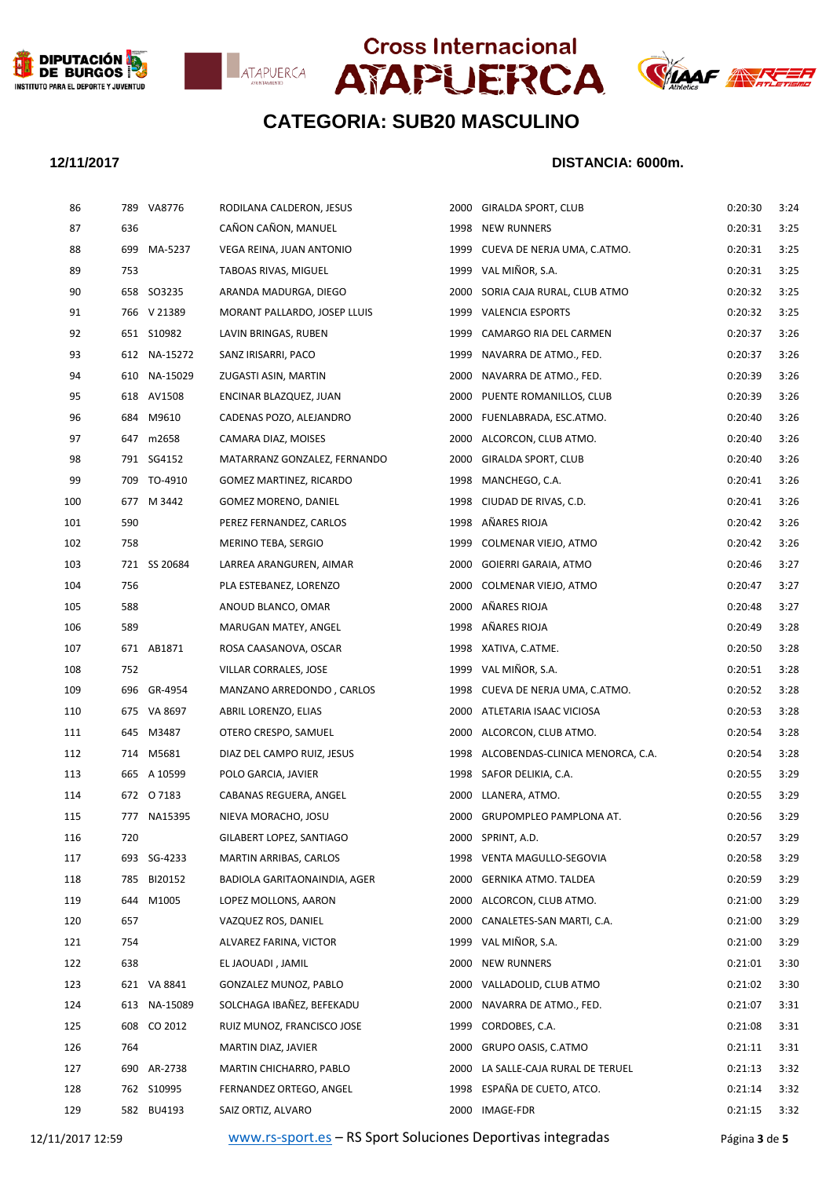







### **12/11/2017 DISTANCIA: 6000m.**

| 86  | 789 | VA8776       | RODILANA CALDERON, JESUS       | 2000 | GIRALDA SPORT, CLUB              | 0:20:30 | 3:24 |
|-----|-----|--------------|--------------------------------|------|----------------------------------|---------|------|
| 87  | 636 |              | CAÑON CAÑON, MANUEL            | 1998 | <b>NEW RUNNERS</b>               | 0:20:31 | 3:25 |
| 88  |     | 699 MA-5237  | VEGA REINA, JUAN ANTONIO       | 1999 | CUEVA DE NERJA UMA, C.ATMO.      | 0:20:31 | 3:25 |
| 89  | 753 |              | TABOAS RIVAS, MIGUEL           | 1999 | VAL MIÑOR, S.A.                  | 0:20:31 | 3:25 |
| 90  |     | 658 SO3235   | ARANDA MADURGA, DIEGO          | 2000 | SORIA CAJA RURAL, CLUB ATMO      | 0:20:32 | 3:25 |
| 91  |     | 766 V 21389  | MORANT PALLARDO, JOSEP LLUIS   | 1999 | <b>VALENCIA ESPORTS</b>          | 0:20:32 | 3:25 |
| 92  |     | 651 S10982   | LAVIN BRINGAS, RUBEN           | 1999 | CAMARGO RIA DEL CARMEN           | 0:20:37 | 3:26 |
| 93  |     | 612 NA-15272 | SANZ IRISARRI, PACO            | 1999 | NAVARRA DE ATMO., FED.           | 0:20:37 | 3:26 |
| 94  |     | 610 NA-15029 | ZUGASTI ASIN, MARTIN           | 2000 | NAVARRA DE ATMO., FED.           | 0:20:39 | 3:26 |
| 95  |     | 618 AV1508   | ENCINAR BLAZQUEZ, JUAN         | 2000 | PUENTE ROMANILLOS, CLUB          | 0:20:39 | 3:26 |
| 96  |     | 684 M9610    | CADENAS POZO, ALEJANDRO        | 2000 | FUENLABRADA, ESC.ATMO.           | 0:20:40 | 3:26 |
| 97  |     | 647 m2658    | CAMARA DIAZ, MOISES            | 2000 | ALCORCON, CLUB ATMO.             | 0:20:40 | 3:26 |
| 98  |     | 791 SG4152   | MATARRANZ GONZALEZ, FERNANDO   | 2000 | GIRALDA SPORT, CLUB              | 0:20:40 | 3:26 |
| 99  |     | 709 TO-4910  | <b>GOMEZ MARTINEZ, RICARDO</b> | 1998 | MANCHEGO, C.A.                   | 0:20:41 | 3:26 |
| 100 |     | 677 M 3442   | <b>GOMEZ MORENO, DANIEL</b>    | 1998 | CIUDAD DE RIVAS, C.D.            | 0:20:41 | 3:26 |
| 101 | 590 |              | PEREZ FERNANDEZ, CARLOS        | 1998 | AÑARES RIOJA                     | 0:20:42 | 3:26 |
| 102 | 758 |              | MERINO TEBA, SERGIO            | 1999 | COLMENAR VIEJO, ATMO             | 0:20:42 | 3:26 |
| 103 |     | 721 SS 20684 | LARREA ARANGUREN, AIMAR        | 2000 | GOIERRI GARAIA, ATMO             | 0:20:46 | 3:27 |
| 104 | 756 |              | PLA ESTEBANEZ, LORENZO         | 2000 | COLMENAR VIEJO, ATMO             | 0:20:47 | 3:27 |
| 105 | 588 |              | ANOUD BLANCO, OMAR             | 2000 | AÑARES RIOJA                     | 0:20:48 | 3:27 |
| 106 | 589 |              | MARUGAN MATEY, ANGEL           | 1998 | AÑARES RIOJA                     | 0:20:49 | 3:28 |
| 107 |     | 671 AB1871   | ROSA CAASANOVA, OSCAR          |      | 1998 XATIVA, C.ATME.             | 0:20:50 | 3:28 |
| 108 | 752 |              | VILLAR CORRALES, JOSE          | 1999 | VAL MIÑOR, S.A.                  | 0:20:51 | 3:28 |
| 109 |     | 696 GR-4954  | MANZANO ARREDONDO, CARLOS      | 1998 | CUEVA DE NERJA UMA, C.ATMO.      | 0:20:52 | 3:28 |
| 110 |     | 675 VA 8697  | ABRIL LORENZO, ELIAS           | 2000 | ATLETARIA ISAAC VICIOSA          | 0:20:53 | 3:28 |
| 111 |     | 645 M3487    | OTERO CRESPO, SAMUEL           | 2000 | ALCORCON, CLUB ATMO.             | 0:20:54 | 3:28 |
| 112 |     | 714 M5681    | DIAZ DEL CAMPO RUIZ, JESUS     | 1998 | ALCOBENDAS-CLINICA MENORCA, C.A. | 0:20:54 | 3:28 |
| 113 |     | 665 A 10599  | POLO GARCIA, JAVIER            |      | 1998 SAFOR DELIKIA, C.A.         | 0:20:55 | 3:29 |
| 114 |     | 672 07183    | CABANAS REGUERA, ANGEL         | 2000 | LLANERA, ATMO.                   | 0:20:55 | 3:29 |
| 115 |     | 777 NA15395  | NIEVA MORACHO, JOSU            |      | 2000 GRUPOMPLEO PAMPLONA AT.     | 0:20:56 | 3:29 |
| 116 | 720 |              | GILABERT LOPEZ, SANTIAGO       |      | 2000 SPRINT, A.D.                | 0:20:57 | 3:29 |
| 117 |     | 693 SG-4233  | <b>MARTIN ARRIBAS, CARLOS</b>  | 1998 | VENTA MAGULLO-SEGOVIA            | 0:20:58 | 3:29 |
| 118 |     | 785 BI20152  | BADIOLA GARITAONAINDIA, AGER   | 2000 | GERNIKA ATMO. TALDEA             | 0:20:59 | 3:29 |
| 119 |     | 644 M1005    | LOPEZ MOLLONS, AARON           | 2000 | ALCORCON, CLUB ATMO.             | 0:21:00 | 3:29 |
| 120 | 657 |              | VAZQUEZ ROS, DANIEL            | 2000 | CANALETES-SAN MARTI, C.A.        | 0:21:00 | 3:29 |
| 121 | 754 |              | ALVAREZ FARINA, VICTOR         | 1999 | VAL MIÑOR, S.A.                  | 0:21:00 | 3:29 |
| 122 | 638 |              | EL JAOUADI, JAMIL              | 2000 | <b>NEW RUNNERS</b>               | 0:21:01 | 3:30 |
| 123 |     | 621 VA 8841  | GONZALEZ MUNOZ, PABLO          | 2000 | VALLADOLID, CLUB ATMO            | 0:21:02 | 3:30 |
| 124 |     | 613 NA-15089 | SOLCHAGA IBAÑEZ, BEFEKADU      | 2000 | NAVARRA DE ATMO., FED.           | 0:21:07 | 3:31 |
| 125 |     | 608 CO 2012  | RUIZ MUNOZ, FRANCISCO JOSE     | 1999 | CORDOBES, C.A.                   | 0:21:08 | 3:31 |
| 126 | 764 |              | MARTIN DIAZ, JAVIER            | 2000 | GRUPO OASIS, C.ATMO              | 0:21:11 | 3:31 |
| 127 |     | 690 AR-2738  | MARTIN CHICHARRO, PABLO        | 2000 | LA SALLE-CAJA RURAL DE TERUEL    | 0:21:13 | 3:32 |
| 128 |     | 762 S10995   | FERNANDEZ ORTEGO, ANGEL        | 1998 | ESPAÑA DE CUETO, ATCO.           | 0:21:14 | 3:32 |
| 129 |     | 582 BU4193   | SAIZ ORTIZ, ALVARO             | 2000 | IMAGE-FDR                        | 0:21:15 | 3:32 |
|     |     |              |                                |      |                                  |         |      |

12/11/2017 12:59 [www.rs-sport.es](http://www.rs-sport.es/) – RS Sport Soluciones Deportivas integradas Página **3** de **5**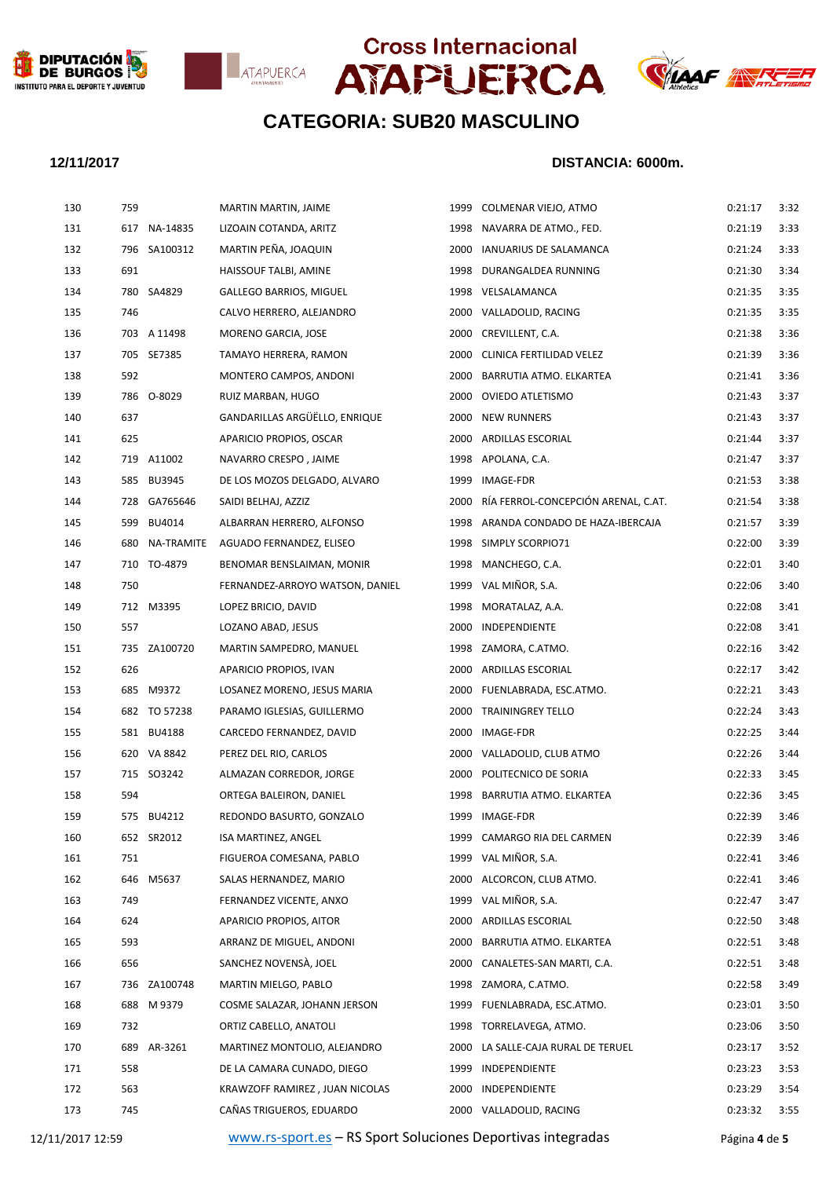







### **12/11/2017 DISTANCIA: 6000m.**

| 130              | 759 |                | MARTIN MARTIN, JAIME                                        |      | 1999 COLMENAR VIEJO, ATMO            | 0:21:17       | 3:32 |
|------------------|-----|----------------|-------------------------------------------------------------|------|--------------------------------------|---------------|------|
| 131              |     | 617 NA-14835   | LIZOAIN COTANDA, ARITZ                                      |      | 1998 NAVARRA DE ATMO., FED.          | 0:21:19       | 3:33 |
| 132              |     | 796 SA100312   | MARTIN PEÑA, JOAQUIN                                        |      | 2000 IANUARIUS DE SALAMANCA          | 0:21:24       | 3:33 |
| 133              | 691 |                | HAISSOUF TALBI, AMINE                                       |      | 1998 DURANGALDEA RUNNING             | 0:21:30       | 3:34 |
| 134              |     | 780 SA4829     | <b>GALLEGO BARRIOS, MIGUEL</b>                              |      | 1998 VELSALAMANCA                    | 0:21:35       | 3:35 |
| 135              | 746 |                | CALVO HERRERO, ALEJANDRO                                    |      | 2000 VALLADOLID, RACING              | 0:21:35       | 3:35 |
| 136              |     | 703 A 11498    | MORENO GARCIA, JOSE                                         |      | 2000 CREVILLENT, C.A.                | 0:21:38       | 3:36 |
| 137              |     | 705 SE7385     | TAMAYO HERRERA, RAMON                                       |      | 2000 CLINICA FERTILIDAD VELEZ        | 0:21:39       | 3:36 |
| 138              | 592 |                | MONTERO CAMPOS, ANDONI                                      | 2000 | BARRUTIA ATMO. ELKARTEA              | 0:21:41       | 3:36 |
| 139              |     | 786 O-8029     | RUIZ MARBAN, HUGO                                           |      | 2000 OVIEDO ATLETISMO                | 0:21:43       | 3:37 |
| 140              | 637 |                | GANDARILLAS ARGÜËLLO, ENRIQUE                               |      | 2000 NEW RUNNERS                     | 0:21:43       | 3:37 |
| 141              | 625 |                | APARICIO PROPIOS, OSCAR                                     |      | 2000 ARDILLAS ESCORIAL               | 0:21:44       | 3:37 |
| 142              |     | 719 A11002     | NAVARRO CRESPO, JAIME                                       |      | 1998 APOLANA, C.A.                   | 0:21:47       | 3:37 |
| 143              |     | 585 BU3945     | DE LOS MOZOS DELGADO, ALVARO                                |      | 1999 IMAGE-FDR                       | 0:21:53       | 3:38 |
| 144              |     | 728 GA765646   | SAIDI BELHAJ, AZZIZ                                         | 2000 | RÍA FERROL-CONCEPCIÓN ARENAL, C.AT.  | 0:21:54       | 3:38 |
| 145              |     | 599 BU4014     | ALBARRAN HERRERO, ALFONSO                                   |      | 1998 ARANDA CONDADO DE HAZA-IBERCAJA | 0:21:57       | 3:39 |
| 146              |     | 680 NA-TRAMITE | AGUADO FERNANDEZ, ELISEO                                    |      | 1998 SIMPLY SCORPIO71                | 0:22:00       | 3:39 |
| 147              |     | 710 TO-4879    | BENOMAR BENSLAIMAN, MONIR                                   |      | 1998 MANCHEGO, C.A.                  | 0:22:01       | 3:40 |
| 148              | 750 |                | FERNANDEZ-ARROYO WATSON, DANIEL                             |      | 1999 VAL MIÑOR, S.A.                 | 0:22:06       | 3:40 |
| 149              |     | 712 M3395      | LOPEZ BRICIO, DAVID                                         |      | 1998 MORATALAZ, A.A.                 | 0:22:08       | 3:41 |
| 150              | 557 |                | LOZANO ABAD, JESUS                                          |      | 2000 INDEPENDIENTE                   | 0:22:08       | 3:41 |
| 151              |     | 735 ZA100720   | MARTIN SAMPEDRO, MANUEL                                     |      | 1998 ZAMORA, C.ATMO.                 | 0:22:16       | 3:42 |
| 152              | 626 |                | APARICIO PROPIOS, IVAN                                      |      | 2000 ARDILLAS ESCORIAL               | 0:22:17       | 3:42 |
| 153              |     | 685 M9372      | LOSANEZ MORENO, JESUS MARIA                                 |      | 2000 FUENLABRADA, ESC.ATMO.          | 0:22:21       | 3:43 |
| 154              |     | 682 TO 57238   | PARAMO IGLESIAS, GUILLERMO                                  |      | 2000 TRAININGREY TELLO               | 0:22:24       | 3:43 |
| 155              |     | 581 BU4188     | CARCEDO FERNANDEZ, DAVID                                    |      | 2000 IMAGE-FDR                       | 0:22:25       | 3:44 |
| 156              |     | 620 VA 8842    | PEREZ DEL RIO, CARLOS                                       |      | 2000 VALLADOLID, CLUB ATMO           | 0:22:26       | 3:44 |
| 157              |     | 715 SO3242     | ALMAZAN CORREDOR, JORGE                                     |      | 2000 POLITECNICO DE SORIA            | 0:22:33       | 3:45 |
| 158              | 594 |                | ORTEGA BALEIRON, DANIEL                                     |      | 1998 BARRUTIA ATMO. ELKARTEA         | 0:22:36       | 3:45 |
| 159              |     | 575 BU4212     | REDONDO BASURTO, GONZALO                                    |      | 1999 IMAGE-FDR                       | 0:22:39       | 3:46 |
| 160              |     | 652 SR2012     | <b>ISA MARTINEZ, ANGEL</b>                                  |      | 1999 CAMARGO RIA DEL CARMEN          | 0:22:39       | 3:46 |
| 161              | 751 |                | FIGUEROA COMESANA, PABLO                                    |      | 1999 VAL MIÑOR, S.A.                 | 0:22:41       | 3:46 |
| 162              | 646 | M5637          | SALAS HERNANDEZ, MARIO                                      | 2000 | ALCORCON, CLUB ATMO.                 | 0:22:41       | 3:46 |
| 163              | 749 |                | FERNANDEZ VICENTE, ANXO                                     |      | 1999 VAL MIÑOR, S.A.                 | 0:22:47       | 3:47 |
| 164              | 624 |                | APARICIO PROPIOS, AITOR                                     | 2000 | ARDILLAS ESCORIAL                    | 0:22:50       | 3:48 |
| 165              | 593 |                | ARRANZ DE MIGUEL, ANDONI                                    | 2000 | BARRUTIA ATMO. ELKARTEA              | 0:22:51       | 3:48 |
| 166              | 656 |                | SANCHEZ NOVENSA, JOEL                                       | 2000 | CANALETES-SAN MARTI, C.A.            | 0:22:51       | 3:48 |
| 167              |     | 736 ZA100748   | MARTIN MIELGO, PABLO                                        |      | 1998 ZAMORA, C.ATMO.                 | 0:22:58       | 3:49 |
| 168              | 688 | M 9379         | COSME SALAZAR, JOHANN JERSON                                | 1999 | FUENLABRADA, ESC.ATMO.               | 0:23:01       | 3:50 |
| 169              | 732 |                | ORTIZ CABELLO, ANATOLI                                      |      | 1998 TORRELAVEGA, ATMO.              | 0:23:06       | 3:50 |
| 170              | 689 | AR-3261        | MARTINEZ MONTOLIO, ALEJANDRO                                | 2000 | LA SALLE-CAJA RURAL DE TERUEL        | 0:23:17       | 3:52 |
| 171              | 558 |                | DE LA CAMARA CUNADO, DIEGO                                  | 1999 | INDEPENDIENTE                        | 0:23:23       | 3:53 |
| 172              | 563 |                | KRAWZOFF RAMIREZ, JUAN NICOLAS                              | 2000 | INDEPENDIENTE                        | 0:23:29       | 3:54 |
| 173              | 745 |                | CAÑAS TRIGUEROS, EDUARDO                                    |      | 2000 VALLADOLID, RACING              | 0:23:32       | 3:55 |
| 12/11/2017 12:59 |     |                | www.rs-sport.es - RS Sport Soluciones Deportivas integradas |      |                                      | Página 4 de 5 |      |